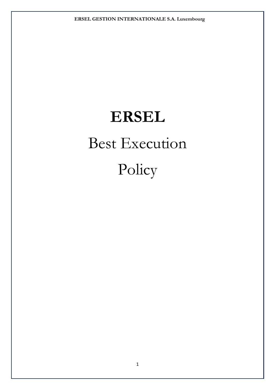# **ERSEL**  Best Execution Policy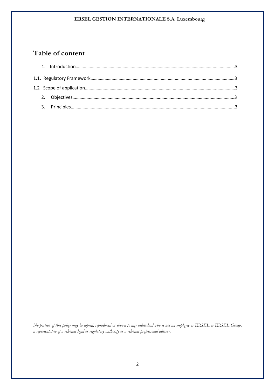# **Table of content**

*No portion of this policy may be copied, reproduced or shown to any individual who is not an employee or ERSEL or ERSEL Group, a representative of a relevant legal or regulatory authority or a relevant professional advisor.*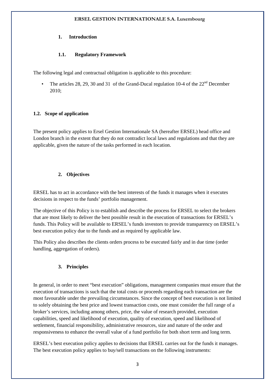#### **1. Introduction**

## **1.1. Regulatory Framework**

The following legal and contractual obligation is applicable to this procedure:

• The articles 28, 29, 30 and 31 of the Grand-Ducal regulation 10-4 of the  $22<sup>nd</sup>$  December 2010;

## **1.2. Scope of application**

The present policy applies to Ersel Gestion Internationale SA (hereafter ERSEL) head office and London branch in the extent that they do not contradict local laws and regulations and that they are applicable, given the nature of the tasks performed in each location.

## **2. Objectives**

ERSEL has to act in accordance with the best interests of the funds it manages when it executes decisions in respect to the funds' portfolio management.

The objective of this Policy is to establish and describe the process for ERSEL to select the brokers that are most likely to deliver the best possible result in the execution of transactions for ERSEL's funds. This Policy will be available to ERSEL's funds investors to provide transparency on ERSEL's best execution policy due to the funds and as required by applicable law.

This Policy also describes the clients orders process to be executed fairly and in due time (order handling, aggregation of orders).

# **3. Principles**

In general, in order to meet "best execution" obligations, management companies must ensure that the execution of transactions is such that the total costs or proceeds regarding each transaction are the most favourable under the prevailing circumstances. Since the concept of best execution is not limited to solely obtaining the best price and lowest transaction costs, one must consider the full range of a broker's services, including among others, price, the value of research provided, execution capabilities, speed and likelihood of execution, quality of execution, speed and likelihood of settlement, financial responsibility, administrative resources, size and nature of the order and responsiveness to enhance the overall value of a fund portfolio for both short term and long term.

ERSEL's best execution policy applies to decisions that ERSEL carries out for the funds it manages. The best execution policy applies to buy/sell transactions on the following instruments: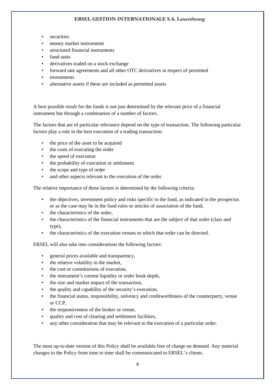- securities
- money market instruments
- structured financial instruments
- fund units
- derivatives traded on a stock exchange
- forward rate agreements and all other OTC derivatives in respect of permitted
- investments
- alternative assets if these are included as permitted assets

A best possible result for the funds is not just determined by the relevant price of a financial instrument but through a combination of a number of factors.

The factors that are of particular relevance depend on the type of transaction. The following particular factors play a role in the best execution of a trading transaction:

- the price of the asset to be acquired
- the costs of executing the order
- the speed of execution
- the probability of execution or settlement
- the scope and type of order
- and other aspects relevant to the execution of the order.

The relative importance of these factors is determined by the following criteria:

- the objectives, investment policy and risks specific to the fund, as indicated in the prospectus or as the case may be in the fund rules or articles of association of the fund,
- the characteristics of the order,
- the characteristics of the financial instruments that are the subject of that order (class and type),
- the characteristics of the execution venues to which that order can be directed.

ERSEL will also take into considerations the following factors:

- general prices available and transparency,
- the relative volatility in the market.
- the cost or commissions of execution.
- the instrument's current liquidity or order book depth,
- the size and market impact of the transaction,
- the quality and capability of the security's execution,
- the financial status, responsibility, solvency and creditworthiness of the counterparty, venue or CCP,
- the responsiveness of the broker or venue,
- quality and cost of clearing and settlement facilities,
- any other consideration that may be relevant to the execution of a particular order.

The most up-to-date version of this Policy shall be available free of charge on demand. Any material changes to the Policy from time to time shall be communicated to ERSEL's clients.